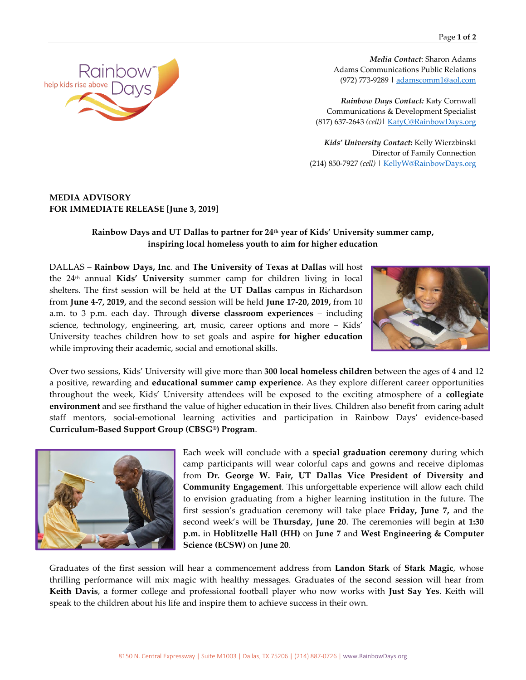

*Media Contact:* Sharon Adams Adams Communications Public Relations (972) 773-9289 [| adamscomm1@aol.com](mailto:adamscomm1@aol.com)

*Rainbow Days Contact:* Katy Cornwall Communications & Development Specialist (817) 637-2643 *(cell)*| [KatyC@RainbowDays.org](mailto:KatyC@RainbowDays.org)

*Kids' University Contact:* Kelly Wierzbinski Director of Family Connection (214) 850-7927 *(cell)* [| KellyW@RainbowDays.org](mailto:KellyW@RainbowDays.org)

## **MEDIA ADVISORY FOR IMMEDIATE RELEASE [June 3, 2019]**

## **Rainbow Days and UT Dallas to partner for 24th year of Kids' University summer camp, inspiring local homeless youth to aim for higher education**

DALLAS – **Rainbow Days, Inc**. and **The University of Texas at Dallas** will host the 24th annual **Kids' University** summer camp for children living in local shelters. The first session will be held at the **UT Dallas** campus in Richardson from **June 4-7, 2019,** and the second session will be held **June 17-20, 2019,** from 10 a.m. to 3 p.m. each day. Through **diverse classroom experiences** – including science, technology, engineering, art, music, career options and more – Kids' University teaches children how to set goals and aspire **for higher education** while improving their academic, social and emotional skills.



Over two sessions, Kids' University will give more than **300 local homeless children** between the ages of 4 and 12 a positive, rewarding and **educational summer camp experience**. As they explore different career opportunities throughout the week, Kids' University attendees will be exposed to the exciting atmosphere of a **collegiate environment** and see firsthand the value of higher education in their lives. Children also benefit from caring adult staff mentors, social-emotional learning activities and participation in Rainbow Days' evidence-based **Curriculum-Based Support Group (CBSG®) Program**.



Each week will conclude with a **special graduation ceremony** during which camp participants will wear colorful caps and gowns and receive diplomas from **Dr. George W. Fair, UT Dallas Vice President of Diversity and Community Engagement**. This unforgettable experience will allow each child to envision graduating from a higher learning institution in the future. The first session's graduation ceremony will take place **Friday, June 7,** and the second week's will be **Thursday, June 20**. The ceremonies will begin **at 1:30 p.m.** in **Hoblitzelle Hall (HH)** on **June 7** and **West Engineering & Computer Science (ECSW)** on **June 20**.

Graduates of the first session will hear a commencement address from **Landon Stark** of **Stark Magic**, whose thrilling performance will mix magic with healthy messages. Graduates of the second session will hear from **Keith Davis**, a former college and professional football player who now works with **Just Say Yes**. Keith will speak to the children about his life and inspire them to achieve success in their own.